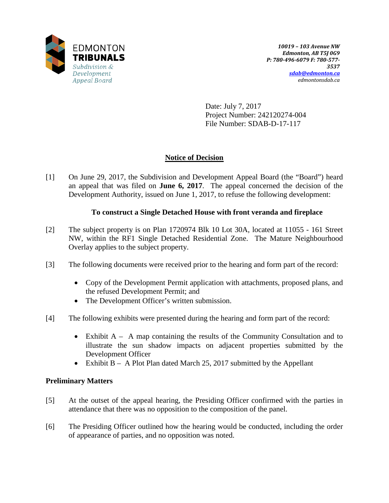

Date: July 7, 2017 Project Number: 242120274-004 File Number: SDAB-D-17-117

# **Notice of Decision**

[1] On June 29, 2017, the Subdivision and Development Appeal Board (the "Board") heard an appeal that was filed on **June 6, 2017**. The appeal concerned the decision of the Development Authority, issued on June 1, 2017, to refuse the following development:

# **To construct a Single Detached House with front veranda and fireplace**

- [2] The subject property is on Plan 1720974 Blk 10 Lot 30A, located at 11055 161 Street NW, within the RF1 Single Detached Residential Zone. The Mature Neighbourhood Overlay applies to the subject property.
- [3] The following documents were received prior to the hearing and form part of the record:
	- Copy of the Development Permit application with attachments, proposed plans, and the refused Development Permit; and
	- The Development Officer's written submission.
- [4] The following exhibits were presented during the hearing and form part of the record:
	- Exhibit A A map containing the results of the Community Consultation and to illustrate the sun shadow impacts on adjacent properties submitted by the Development Officer
	- Exhibit B A Plot Plan dated March 25, 2017 submitted by the Appellant

# **Preliminary Matters**

- [5] At the outset of the appeal hearing, the Presiding Officer confirmed with the parties in attendance that there was no opposition to the composition of the panel.
- [6] The Presiding Officer outlined how the hearing would be conducted, including the order of appearance of parties, and no opposition was noted.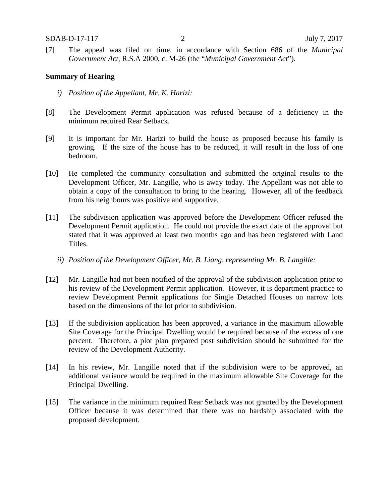[7] The appeal was filed on time, in accordance with Section 686 of the *Municipal Government Act*, R.S.A 2000, c. M-26 (the "*Municipal Government Act*").

#### **Summary of Hearing**

- *i) Position of the Appellant, Mr. K. Harizi:*
- [8] The Development Permit application was refused because of a deficiency in the minimum required Rear Setback.
- [9] It is important for Mr. Harizi to build the house as proposed because his family is growing. If the size of the house has to be reduced, it will result in the loss of one bedroom.
- [10] He completed the community consultation and submitted the original results to the Development Officer, Mr. Langille, who is away today. The Appellant was not able to obtain a copy of the consultation to bring to the hearing. However, all of the feedback from his neighbours was positive and supportive.
- [11] The subdivision application was approved before the Development Officer refused the Development Permit application. He could not provide the exact date of the approval but stated that it was approved at least two months ago and has been registered with Land Titles.
	- *ii) Position of the Development Officer, Mr. B. Liang, representing Mr. B. Langille:*
- [12] Mr. Langille had not been notified of the approval of the subdivision application prior to his review of the Development Permit application. However, it is department practice to review Development Permit applications for Single Detached Houses on narrow lots based on the dimensions of the lot prior to subdivision.
- [13] If the subdivision application has been approved, a variance in the maximum allowable Site Coverage for the Principal Dwelling would be required because of the excess of one percent. Therefore, a plot plan prepared post subdivision should be submitted for the review of the Development Authority.
- [14] In his review, Mr. Langille noted that if the subdivision were to be approved, an additional variance would be required in the maximum allowable Site Coverage for the Principal Dwelling.
- [15] The variance in the minimum required Rear Setback was not granted by the Development Officer because it was determined that there was no hardship associated with the proposed development.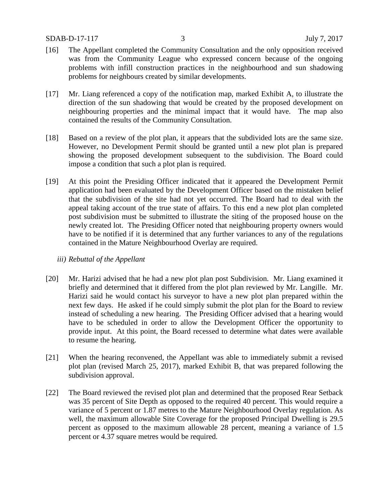- [16] The Appellant completed the Community Consultation and the only opposition received was from the Community League who expressed concern because of the ongoing problems with infill construction practices in the neighbourhood and sun shadowing problems for neighbours created by similar developments.
- [17] Mr. Liang referenced a copy of the notification map, marked Exhibit A, to illustrate the direction of the sun shadowing that would be created by the proposed development on neighbouring properties and the minimal impact that it would have. The map also contained the results of the Community Consultation.
- [18] Based on a review of the plot plan, it appears that the subdivided lots are the same size. However, no Development Permit should be granted until a new plot plan is prepared showing the proposed development subsequent to the subdivision. The Board could impose a condition that such a plot plan is required.
- [19] At this point the Presiding Officer indicated that it appeared the Development Permit application had been evaluated by the Development Officer based on the mistaken belief that the subdivision of the site had not yet occurred. The Board had to deal with the appeal taking account of the true state of affairs. To this end a new plot plan completed post subdivision must be submitted to illustrate the siting of the proposed house on the newly created lot. The Presiding Officer noted that neighbouring property owners would have to be notified if it is determined that any further variances to any of the regulations contained in the Mature Neighbourhood Overlay are required.

## *iii) Rebuttal of the Appellant*

- [20] Mr. Harizi advised that he had a new plot plan post Subdivision. Mr. Liang examined it briefly and determined that it differed from the plot plan reviewed by Mr. Langille. Mr. Harizi said he would contact his surveyor to have a new plot plan prepared within the next few days. He asked if he could simply submit the plot plan for the Board to review instead of scheduling a new hearing. The Presiding Officer advised that a hearing would have to be scheduled in order to allow the Development Officer the opportunity to provide input. At this point, the Board recessed to determine what dates were available to resume the hearing.
- [21] When the hearing reconvened, the Appellant was able to immediately submit a revised plot plan (revised March 25, 2017), marked Exhibit B, that was prepared following the subdivision approval.
- [22] The Board reviewed the revised plot plan and determined that the proposed Rear Setback was 35 percent of Site Depth as opposed to the required 40 percent. This would require a variance of 5 percent or 1.87 metres to the Mature Neighbourhood Overlay regulation. As well, the maximum allowable Site Coverage for the proposed Principal Dwelling is 29.5 percent as opposed to the maximum allowable 28 percent, meaning a variance of 1.5 percent or 4.37 square metres would be required.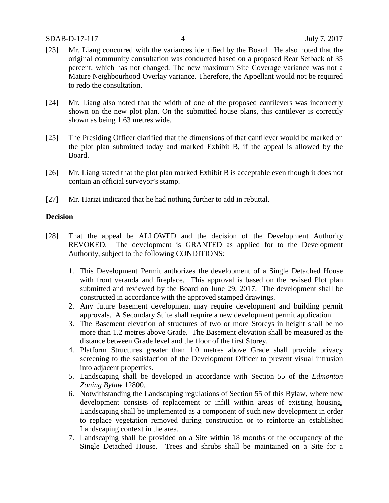- [23] Mr. Liang concurred with the variances identified by the Board. He also noted that the original community consultation was conducted based on a proposed Rear Setback of 35 percent, which has not changed. The new maximum Site Coverage variance was not a Mature Neighbourhood Overlay variance. Therefore, the Appellant would not be required to redo the consultation.
- [24] Mr. Liang also noted that the width of one of the proposed cantilevers was incorrectly shown on the new plot plan. On the submitted house plans, this cantilever is correctly shown as being 1.63 metres wide.
- [25] The Presiding Officer clarified that the dimensions of that cantilever would be marked on the plot plan submitted today and marked Exhibit B, if the appeal is allowed by the Board.
- [26] Mr. Liang stated that the plot plan marked Exhibit B is acceptable even though it does not contain an official surveyor's stamp.
- [27] Mr. Harizi indicated that he had nothing further to add in rebuttal.

### **Decision**

- [28] That the appeal be ALLOWED and the decision of the Development Authority REVOKED. The development is GRANTED as applied for to the Development Authority, subject to the following CONDITIONS:
	- 1. This Development Permit authorizes the development of a Single Detached House with front veranda and fireplace. This approval is based on the revised Plot plan submitted and reviewed by the Board on June 29, 2017. The development shall be constructed in accordance with the approved stamped drawings.
	- 2. Any future basement development may require development and building permit approvals. A Secondary Suite shall require a new development permit application.
	- 3. The Basement elevation of structures of two or more Storeys in height shall be no more than 1.2 metres above Grade. The Basement elevation shall be measured as the distance between Grade level and the floor of the first Storey.
	- 4. Platform Structures greater than 1.0 metres above Grade shall provide privacy screening to the satisfaction of the Development Officer to prevent visual intrusion into adjacent properties.
	- 5. Landscaping shall be developed in accordance with Section 55 of the *Edmonton Zoning Bylaw* 12800.
	- 6. Notwithstanding the Landscaping regulations of Section 55 of this Bylaw, where new development consists of replacement or infill within areas of existing housing, Landscaping shall be implemented as a component of such new development in order to replace vegetation removed during construction or to reinforce an established Landscaping context in the area.
	- 7. Landscaping shall be provided on a Site within 18 months of the occupancy of the Single Detached House. Trees and shrubs shall be maintained on a Site for a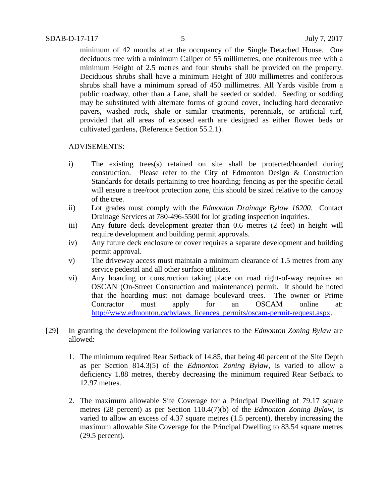minimum of 42 months after the occupancy of the Single Detached House. One deciduous tree with a minimum Caliper of 55 millimetres, one coniferous tree with a minimum Height of 2.5 metres and four shrubs shall be provided on the property. Deciduous shrubs shall have a minimum Height of 300 millimetres and coniferous shrubs shall have a minimum spread of 450 millimetres. All Yards visible from a public roadway, other than a Lane, shall be seeded or sodded. Seeding or sodding may be substituted with alternate forms of ground cover, including hard decorative pavers, washed rock, shale or similar treatments, perennials, or artificial turf, provided that all areas of exposed earth are designed as either flower beds or cultivated gardens, (Reference Section 55.2.1).

### ADVISEMENTS:

- i) The existing trees(s) retained on site shall be protected/hoarded during construction. Please refer to the City of Edmonton Design & Construction Standards for details pertaining to tree hoarding; fencing as per the specific detail will ensure a tree/root protection zone, this should be sized relative to the canopy of the tree.
- ii) Lot grades must comply with the *Edmonton Drainage Bylaw 16200*. Contact Drainage Services at 780-496-5500 for lot grading inspection inquiries.
- iii) Any future deck development greater than 0.6 metres (2 feet) in height will require development and building permit approvals.
- iv) Any future deck enclosure or cover requires a separate development and building permit approval.
- v) The driveway access must maintain a minimum clearance of 1.5 metres from any service pedestal and all other surface utilities.
- vi) Any hoarding or construction taking place on road right-of-way requires an OSCAN (On-Street Construction and maintenance) permit. It should be noted that the hoarding must not damage boulevard trees. The owner or Prime Contractor must apply for an OSCAM online at: [http://www.edmonton.ca/bylaws\\_licences\\_permits/oscam-permit-request.aspx.](http://www.edmonton.ca/bylaws_licences_permits/oscam-permit-request.aspx)
- [29] In granting the development the following variances to the *Edmonton Zoning Bylaw* are allowed:
	- 1. The minimum required Rear Setback of 14.85, that being 40 percent of the Site Depth as per Section 814.3(5) of the *Edmonton Zoning Bylaw,* is varied to allow a deficiency 1.88 metres, thereby decreasing the minimum required Rear Setback to 12.97 metres.
	- 2. The maximum allowable Site Coverage for a Principal Dwelling of 79.17 square metres (28 percent) as per Section 110.4(7)(b) of the *Edmonton Zoning Bylaw,* is varied to allow an excess of 4.37 square metres (1.5 percent), thereby increasing the maximum allowable Site Coverage for the Principal Dwelling to 83.54 square metres (29.5 percent).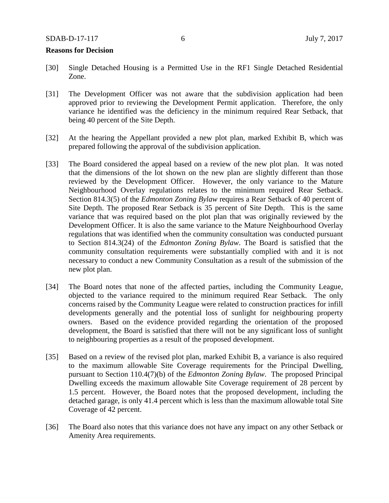#### **Reasons for Decision**

- [30] Single Detached Housing is a Permitted Use in the RF1 Single Detached Residential Zone.
- [31] The Development Officer was not aware that the subdivision application had been approved prior to reviewing the Development Permit application. Therefore, the only variance he identified was the deficiency in the minimum required Rear Setback, that being 40 percent of the Site Depth.
- [32] At the hearing the Appellant provided a new plot plan, marked Exhibit B, which was prepared following the approval of the subdivision application.
- [33] The Board considered the appeal based on a review of the new plot plan. It was noted that the dimensions of the lot shown on the new plan are slightly different than those reviewed by the Development Officer. However, the only variance to the Mature Neighbourhood Overlay regulations relates to the minimum required Rear Setback. Section 814.3(5) of the *Edmonton Zoning Bylaw* requires a Rear Setback of 40 percent of Site Depth. The proposed Rear Setback is 35 percent of Site Depth. This is the same variance that was required based on the plot plan that was originally reviewed by the Development Officer. It is also the same variance to the Mature Neighbourhood Overlay regulations that was identified when the community consultation was conducted pursuant to Section 814.3(24) of the *Edmonton Zoning Bylaw*. The Board is satisfied that the community consultation requirements were substantially complied with and it is not necessary to conduct a new Community Consultation as a result of the submission of the new plot plan.
- [34] The Board notes that none of the affected parties, including the Community League, objected to the variance required to the minimum required Rear Setback. The only concerns raised by the Community League were related to construction practices for infill developments generally and the potential loss of sunlight for neighbouring property owners. Based on the evidence provided regarding the orientation of the proposed development, the Board is satisfied that there will not be any significant loss of sunlight to neighbouring properties as a result of the proposed development.
- [35] Based on a review of the revised plot plan, marked Exhibit B, a variance is also required to the maximum allowable Site Coverage requirements for the Principal Dwelling, pursuant to Section 110.4(7)(b) of the *Edmonton Zoning Bylaw*. The proposed Principal Dwelling exceeds the maximum allowable Site Coverage requirement of 28 percent by 1.5 percent. However, the Board notes that the proposed development, including the detached garage, is only 41.4 percent which is less than the maximum allowable total Site Coverage of 42 percent.
- [36] The Board also notes that this variance does not have any impact on any other Setback or Amenity Area requirements.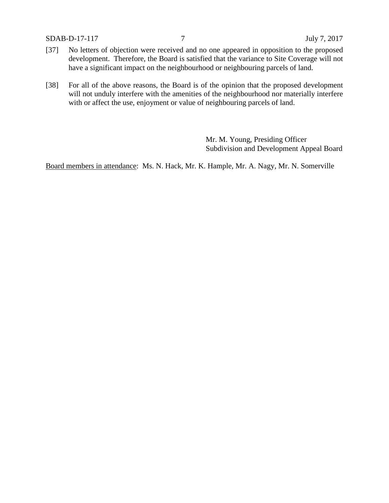SDAB-D-17-117 7 July 7, 2017

- [37] No letters of objection were received and no one appeared in opposition to the proposed development. Therefore, the Board is satisfied that the variance to Site Coverage will not have a significant impact on the neighbourhood or neighbouring parcels of land.
- [38] For all of the above reasons, the Board is of the opinion that the proposed development will not unduly interfere with the amenities of the neighbourhood nor materially interfere with or affect the use, enjoyment or value of neighbouring parcels of land.

Mr. M. Young, Presiding Officer Subdivision and Development Appeal Board

Board members in attendance: Ms. N. Hack, Mr. K. Hample, Mr. A. Nagy, Mr. N. Somerville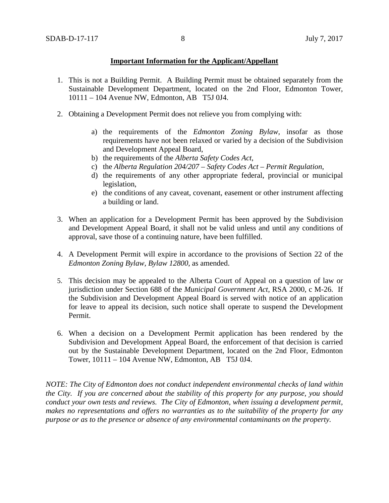## **Important Information for the Applicant/Appellant**

- 1. This is not a Building Permit. A Building Permit must be obtained separately from the Sustainable Development Department, located on the 2nd Floor, Edmonton Tower, 10111 – 104 Avenue NW, Edmonton, AB T5J 0J4.
- 2. Obtaining a Development Permit does not relieve you from complying with:
	- a) the requirements of the *Edmonton Zoning Bylaw*, insofar as those requirements have not been relaxed or varied by a decision of the Subdivision and Development Appeal Board,
	- b) the requirements of the *Alberta Safety Codes Act*,
	- c) the *Alberta Regulation 204/207 – Safety Codes Act – Permit Regulation*,
	- d) the requirements of any other appropriate federal, provincial or municipal legislation,
	- e) the conditions of any caveat, covenant, easement or other instrument affecting a building or land.
- 3. When an application for a Development Permit has been approved by the Subdivision and Development Appeal Board, it shall not be valid unless and until any conditions of approval, save those of a continuing nature, have been fulfilled.
- 4. A Development Permit will expire in accordance to the provisions of Section 22 of the *Edmonton Zoning Bylaw, Bylaw 12800*, as amended.
- 5. This decision may be appealed to the Alberta Court of Appeal on a question of law or jurisdiction under Section 688 of the *Municipal Government Act*, RSA 2000, c M-26. If the Subdivision and Development Appeal Board is served with notice of an application for leave to appeal its decision, such notice shall operate to suspend the Development Permit.
- 6. When a decision on a Development Permit application has been rendered by the Subdivision and Development Appeal Board, the enforcement of that decision is carried out by the Sustainable Development Department, located on the 2nd Floor, Edmonton Tower, 10111 – 104 Avenue NW, Edmonton, AB T5J 0J4.

*NOTE: The City of Edmonton does not conduct independent environmental checks of land within the City. If you are concerned about the stability of this property for any purpose, you should conduct your own tests and reviews. The City of Edmonton, when issuing a development permit, makes no representations and offers no warranties as to the suitability of the property for any purpose or as to the presence or absence of any environmental contaminants on the property.*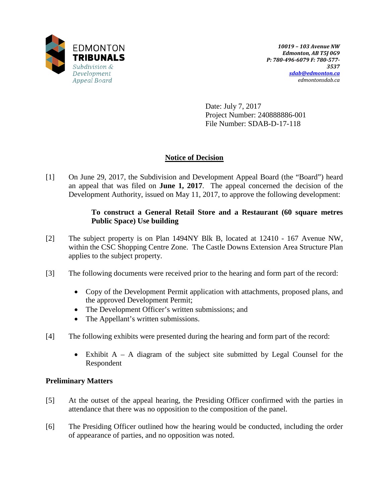

Date: July 7, 2017 Project Number: 240888886-001 File Number: SDAB-D-17-118

# **Notice of Decision**

[1] On June 29, 2017, the Subdivision and Development Appeal Board (the "Board") heard an appeal that was filed on **June 1, 2017**. The appeal concerned the decision of the Development Authority, issued on May 11, 2017, to approve the following development:

## **To construct a General Retail Store and a Restaurant (60 square metres Public Space) Use building**

- [2] The subject property is on Plan 1494NY Blk B, located at 12410 167 Avenue NW, within the CSC Shopping Centre Zone. The Castle Downs Extension Area Structure Plan applies to the subject property.
- [3] The following documents were received prior to the hearing and form part of the record:
	- Copy of the Development Permit application with attachments, proposed plans, and the approved Development Permit;
	- The Development Officer's written submissions; and
	- The Appellant's written submissions.
- [4] The following exhibits were presented during the hearing and form part of the record:
	- Exhibit  $A A$  diagram of the subject site submitted by Legal Counsel for the Respondent

# **Preliminary Matters**

- [5] At the outset of the appeal hearing, the Presiding Officer confirmed with the parties in attendance that there was no opposition to the composition of the panel.
- [6] The Presiding Officer outlined how the hearing would be conducted, including the order of appearance of parties, and no opposition was noted.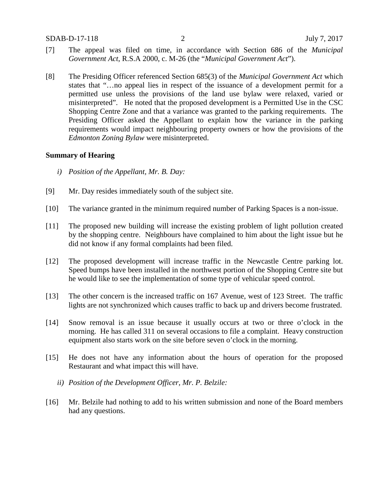- [7] The appeal was filed on time, in accordance with Section 686 of the *Municipal Government Act*, R.S.A 2000, c. M-26 (the "*Municipal Government Act*").
- [8] The Presiding Officer referenced Section 685(3) of the *Municipal Government Act* which states that "…no appeal lies in respect of the issuance of a development permit for a permitted use unless the provisions of the land use bylaw were relaxed, varied or misinterpreted". He noted that the proposed development is a Permitted Use in the CSC Shopping Centre Zone and that a variance was granted to the parking requirements. The Presiding Officer asked the Appellant to explain how the variance in the parking requirements would impact neighbouring property owners or how the provisions of the *Edmonton Zoning Bylaw* were misinterpreted.

### **Summary of Hearing**

- *i) Position of the Appellant, Mr. B. Day:*
- [9] Mr. Day resides immediately south of the subject site.
- [10] The variance granted in the minimum required number of Parking Spaces is a non-issue.
- [11] The proposed new building will increase the existing problem of light pollution created by the shopping centre. Neighbours have complained to him about the light issue but he did not know if any formal complaints had been filed.
- [12] The proposed development will increase traffic in the Newcastle Centre parking lot. Speed bumps have been installed in the northwest portion of the Shopping Centre site but he would like to see the implementation of some type of vehicular speed control.
- [13] The other concern is the increased traffic on 167 Avenue, west of 123 Street. The traffic lights are not synchronized which causes traffic to back up and drivers become frustrated.
- [14] Snow removal is an issue because it usually occurs at two or three o'clock in the morning. He has called 311 on several occasions to file a complaint. Heavy construction equipment also starts work on the site before seven o'clock in the morning.
- [15] He does not have any information about the hours of operation for the proposed Restaurant and what impact this will have.
	- *ii) Position of the Development Officer, Mr. P. Belzile:*
- [16] Mr. Belzile had nothing to add to his written submission and none of the Board members had any questions.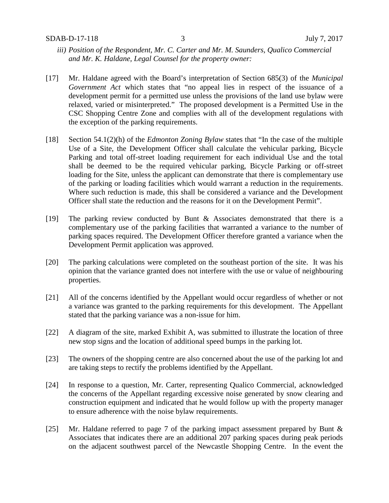- *iii) Position of the Respondent, Mr. C. Carter and Mr. M. Saunders, Qualico Commercial and Mr. K. Haldane, Legal Counsel for the property owner:*
- [17] Mr. Haldane agreed with the Board's interpretation of Section 685(3) of the *Municipal Government Act* which states that "no appeal lies in respect of the issuance of a development permit for a permitted use unless the provisions of the land use bylaw were relaxed, varied or misinterpreted." The proposed development is a Permitted Use in the CSC Shopping Centre Zone and complies with all of the development regulations with the exception of the parking requirements.
- [18] Section 54.1(2)(h) of the *Edmonton Zoning Bylaw* states that "In the case of the multiple Use of a Site, the Development Officer shall calculate the vehicular parking, Bicycle Parking and total off-street loading requirement for each individual Use and the total shall be deemed to be the required vehicular parking, Bicycle Parking or off-street loading for the Site, unless the applicant can demonstrate that there is complementary use of the parking or loading facilities which would warrant a reduction in the requirements. Where such reduction is made, this shall be considered a variance and the Development Officer shall state the reduction and the reasons for it on the Development Permit".
- [19] The parking review conducted by Bunt & Associates demonstrated that there is a complementary use of the parking facilities that warranted a variance to the number of parking spaces required. The Development Officer therefore granted a variance when the Development Permit application was approved.
- [20] The parking calculations were completed on the southeast portion of the site. It was his opinion that the variance granted does not interfere with the use or value of neighbouring properties.
- [21] All of the concerns identified by the Appellant would occur regardless of whether or not a variance was granted to the parking requirements for this development. The Appellant stated that the parking variance was a non-issue for him.
- [22] A diagram of the site, marked Exhibit A, was submitted to illustrate the location of three new stop signs and the location of additional speed bumps in the parking lot.
- [23] The owners of the shopping centre are also concerned about the use of the parking lot and are taking steps to rectify the problems identified by the Appellant.
- [24] In response to a question, Mr. Carter, representing Qualico Commercial, acknowledged the concerns of the Appellant regarding excessive noise generated by snow clearing and construction equipment and indicated that he would follow up with the property manager to ensure adherence with the noise bylaw requirements.
- [25] Mr. Haldane referred to page 7 of the parking impact assessment prepared by Bunt & Associates that indicates there are an additional 207 parking spaces during peak periods on the adjacent southwest parcel of the Newcastle Shopping Centre. In the event the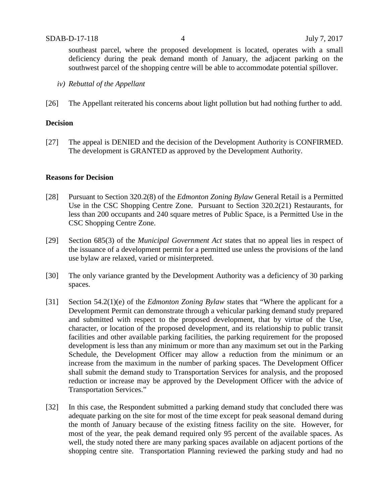southeast parcel, where the proposed development is located, operates with a small deficiency during the peak demand month of January, the adjacent parking on the southwest parcel of the shopping centre will be able to accommodate potential spillover.

- *iv) Rebuttal of the Appellant*
- [26] The Appellant reiterated his concerns about light pollution but had nothing further to add.

#### **Decision**

[27] The appeal is DENIED and the decision of the Development Authority is CONFIRMED. The development is GRANTED as approved by the Development Authority.

#### **Reasons for Decision**

- [28] Pursuant to Section 320.2(8) of the *Edmonton Zoning Bylaw* General Retail is a Permitted Use in the CSC Shopping Centre Zone. Pursuant to Section 320.2(21) Restaurants, for less than 200 occupants and 240 square metres of Public Space, is a Permitted Use in the CSC Shopping Centre Zone.
- [29] Section 685(3) of the *Municipal Government Act* states that no appeal lies in respect of the issuance of a development permit for a permitted use unless the provisions of the land use bylaw are relaxed, varied or misinterpreted.
- [30] The only variance granted by the Development Authority was a deficiency of 30 parking spaces.
- [31] Section 54.2(1)(e) of the *Edmonton Zoning Bylaw* states that "Where the applicant for a Development Permit can demonstrate through a vehicular parking demand study prepared and submitted with respect to the proposed development, that by virtue of the Use, character, or location of the proposed development, and its relationship to public transit facilities and other available parking facilities, the parking requirement for the proposed development is less than any minimum or more than any maximum set out in the Parking Schedule, the Development Officer may allow a reduction from the minimum or an increase from the maximum in the number of parking spaces. The Development Officer shall submit the demand study to Transportation Services for analysis, and the proposed reduction or increase may be approved by the Development Officer with the advice of Transportation Services."
- [32] In this case, the Respondent submitted a parking demand study that concluded there was adequate parking on the site for most of the time except for peak seasonal demand during the month of January because of the existing fitness facility on the site. However, for most of the year, the peak demand required only 95 percent of the available spaces. As well, the study noted there are many parking spaces available on adjacent portions of the shopping centre site. Transportation Planning reviewed the parking study and had no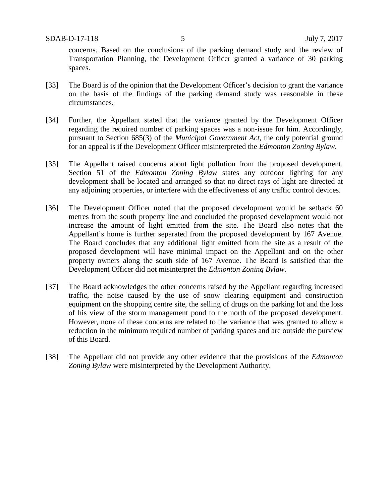concerns. Based on the conclusions of the parking demand study and the review of Transportation Planning, the Development Officer granted a variance of 30 parking spaces.

- [33] The Board is of the opinion that the Development Officer's decision to grant the variance on the basis of the findings of the parking demand study was reasonable in these circumstances.
- [34] Further, the Appellant stated that the variance granted by the Development Officer regarding the required number of parking spaces was a non-issue for him. Accordingly, pursuant to Section 685(3) of the *Municipal Government Act*, the only potential ground for an appeal is if the Development Officer misinterpreted the *Edmonton Zoning Bylaw*.
- [35] The Appellant raised concerns about light pollution from the proposed development. Section 51 of the *Edmonton Zoning Bylaw* states any outdoor lighting for any development shall be located and arranged so that no direct rays of light are directed at any adjoining properties, or interfere with the effectiveness of any traffic control devices.
- [36] The Development Officer noted that the proposed development would be setback 60 metres from the south property line and concluded the proposed development would not increase the amount of light emitted from the site. The Board also notes that the Appellant's home is further separated from the proposed development by 167 Avenue. The Board concludes that any additional light emitted from the site as a result of the proposed development will have minimal impact on the Appellant and on the other property owners along the south side of 167 Avenue. The Board is satisfied that the Development Officer did not misinterpret the *Edmonton Zoning Bylaw.*
- [37] The Board acknowledges the other concerns raised by the Appellant regarding increased traffic, the noise caused by the use of snow clearing equipment and construction equipment on the shopping centre site, the selling of drugs on the parking lot and the loss of his view of the storm management pond to the north of the proposed development. However, none of these concerns are related to the variance that was granted to allow a reduction in the minimum required number of parking spaces and are outside the purview of this Board.
- [38] The Appellant did not provide any other evidence that the provisions of the *Edmonton Zoning Bylaw* were misinterpreted by the Development Authority.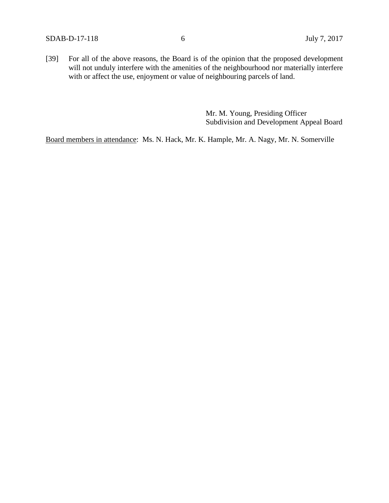[39] For all of the above reasons, the Board is of the opinion that the proposed development will not unduly interfere with the amenities of the neighbourhood nor materially interfere with or affect the use, enjoyment or value of neighbouring parcels of land.

> Mr. M. Young, Presiding Officer Subdivision and Development Appeal Board

Board members in attendance: Ms. N. Hack, Mr. K. Hample, Mr. A. Nagy, Mr. N. Somerville